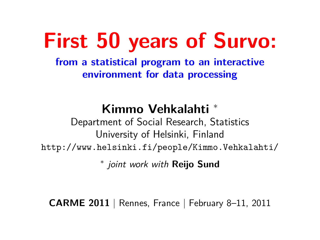# **First 50 years of Survo:**

**from a statistical program to an interactive environment for data processing**

# **Kimmo Vehkalahti** <sup>∗</sup>

Department of Social Research, Statistics University of Helsinki, Finland <http://www.helsinki.fi/people/Kimmo.Vehkalahti/>

∗ joint work with **Reijo Sund**

**CARME 2011** | Rennes, France | February 8–11, 2011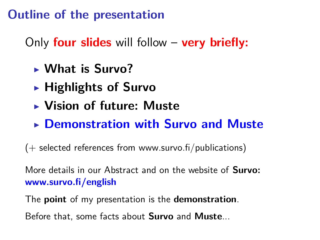### **Outline of the presentation**

Only **four slides** will follow – **very briefly:**

- <sup>I</sup> **What is Survo?**
- **EXA** Highlights of Survo
- **E** Vision of future: Muste
- **EXECUTE: Demonstration with Survo and Muster**

 $(+)$  selected references from www.survo.fi/publications)

More details in our Abstract and on the website of **Survo: www.survo.fi/english**

The **point** of my presentation is the **demonstration**.

Before that, some facts about **Survo** and **Muste**...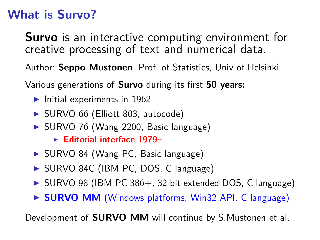# **What is Survo?**

**Survo** is an interactive computing environment for creative processing of text and numerical data.

Author: **Seppo Mustonen**, Prof. of Statistics, Univ of Helsinki

Various generations of **Survo** during its first **50 years:**

- $\blacktriangleright$  Initial experiments in 1962
- ▶ SURVO 66 (Elliott 803, autocode)
- ▶ SURVO 76 (Wang 2200, Basic language)
	- ► **Editorial interface 1979–**
- ▶ SURVO 84 (Wang PC, Basic language)
- ▶ SURVO 84C (IBM PC, DOS, C language)
- $\triangleright$  SURVO 98 (IBM PC 386+, 32 bit extended DOS, C language)
- ▶ **SURVO MM** (Windows platforms, Win32 API, C language)

Development of **SURVO MM** will continue by S.Mustonen et al.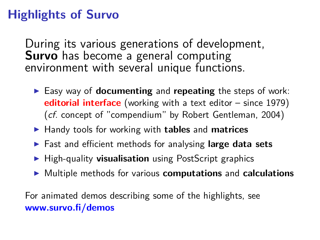# **Highlights of Survo**

During its various generations of development, **Survo** has become a general computing environment with several unique functions.

- Easy way of **documenting** and **repeating** the steps of work: **editorial interface** (working with a text editor – since 1979) (cf. concept of "compendium" by Robert Gentleman, 2004)
- ▶ Handy tools for working with **tables** and **matrices**
- ▶ Fast and efficient methods for analysing **large data sets**
- ▶ High-quality **visualisation** using PostScript graphics
- **IDED** Multiple methods for various **computations** and **calculations**

For animated demos describing some of the highlights, see **www.survo.fi/demos**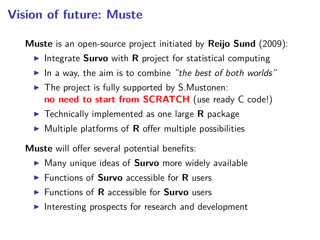#### **Vision of future: Muste**

**Muste** is an open-source project initiated by **Reijo Sund** (2009):

- **IDED** Integrate **Survo** with **R** project for statistical computing
- In a way, the aim is to combine "the best of both worlds"
- $\blacktriangleright$  The project is fully supported by S. Mustonen: **no need to start from SCRATCH** (use ready C code!)
- ► Technically implemented as one large **R** package
- $\triangleright$  Multiple platforms of **R** offer multiple possibilities

**Muste** will offer several potential benefits:

- ▶ Many unique ideas of **Survo** more widely available
- ▶ Functions of **Survo** accessible for **R** users
- ▶ Functions of **R** accessible for **Survo** users
- Interesting prospects for research and development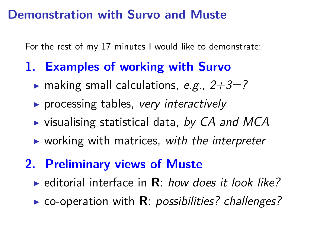#### **Demonstration with Survo and Muste**

For the rest of my 17 minutes I would like to demonstrate:

# **1. Examples of working with Survo**

- $\triangleright$  making small calculations, e.g.,  $2+3=?$
- $\triangleright$  processing tables, very interactively
- $\triangleright$  visualising statistical data, by CA and MCA
- $\triangleright$  working with matrices, with the interpreter
- **2. Preliminary views of Muste**
	- $\triangleright$  editorial interface in  $\mathbf{R}$ : how does it look like?
	- $\triangleright$  co-operation with **R**: *possibilities?* challenges?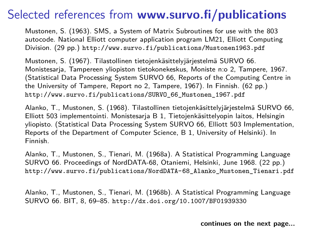Mustonen, S. (1963). SMS, a System of Matrix Subroutines for use with the 803 autocode. National Elliott computer application program LM21, Elliott Computing Division. (29 pp.) <http://www.survo.fi/publications/Mustonen1963.pdf>

Mustonen, S. (1967). Tilastollinen tietojenkäsittelyjärjestelmä SURVO 66. Monistesarja, Tampereen yliopiston tietokonekeskus, Moniste n:o 2, Tampere, 1967. (Statistical Data Processing System SURVO 66, Reports of the Computing Centre in the University of Tampere, Report no 2, Tampere, 1967). In Finnish. (62 pp.) [http://www.survo.fi/publications/SURVO\\_66\\_Mustonen\\_1967.pdf](http://www.survo.fi/publications/SURVO_66_Mustonen_1967.pdf)

Alanko, T., Mustonen, S. (1968). Tilastollinen tietojenkäsittelyjärjestelmä SURVO 66, Elliott 503 implementointi. Monistesarja B 1, Tietojenkäsittelyopin laitos, Helsingin yliopisto. (Statistical Data Processing System SURVO 66, Elliott 503 Implementation, Reports of the Department of Computer Science, B 1, University of Helsinki). In Finnish.

Alanko, T., Mustonen, S., Tienari, M. (1968a). A Statistical Programming Language SURVO 66. Proceedings of NordDATA-68, Otaniemi, Helsinki, June 1968. (22 pp.) [http://www.survo.fi/publications/NordDATA-68\\_Alanko\\_Mustonen\\_Tienari.pdf](http://www.survo.fi/publications/NordDATA-68_Alanko_Mustonen_Tienari.pdf)

Alanko, T., Mustonen, S., Tienari, M. (1968b). A Statistical Programming Language SURVO 66. BIT, 8, 69–85. <http://dx.doi.org/10.1007/BF01939330>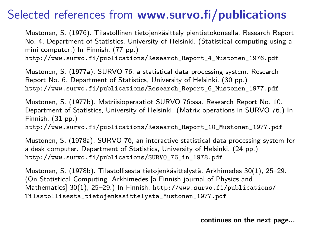Mustonen, S. (1976). Tilastollinen tietojenkäsittely pientietokoneella. Research Report No. 4. Department of Statistics, University of Helsinki. (Statistical computing using a mini computer.) In Finnish. (77 pp.)

[http://www.survo.fi/publications/Research\\_Report\\_4\\_Mustonen\\_1976.pdf](http://www.survo.fi/publications/Research_Report_4_Mustonen_1976.pdf)

Mustonen, S. (1977a). SURVO 76, a statistical data processing system. Research Report No. 6. Department of Statistics, University of Helsinki. (30 pp.) [http://www.survo.fi/publications/Research\\_Report\\_6\\_Mustonen\\_1977.pdf](http://www.survo.fi/publications/Research_Report_6_Mustonen_1977.pdf)

Mustonen, S. (1977b). Matriisioperaatiot SURVO 76:ssa. Research Report No. 10. Department of Statistics, University of Helsinki. (Matrix operations in SURVO 76.) In Finnish. (31 pp.) [http://www.survo.fi/publications/Research\\_Report\\_10\\_Mustonen\\_1977.pdf](http://www.survo.fi/publications/Research_Report_10_Mustonen_1977.pdf)

Mustonen, S. (1978a). SURVO 76, an interactive statistical data processing system for a desk computer. Department of Statistics, University of Helsinki. (24 pp.) [http://www.survo.fi/publications/SURVO\\_76\\_in\\_1978.pdf](http://www.survo.fi/publications/SURVO_76_in_1978.pdf)

Mustonen, S. (1978b). Tilastollisesta tietojenkäsittelystä. Arkhimedes 30(1), 25–29. (On Statistical Computing. Arkhimedes [a Finnish journal of Physics and Mathematics] 30(1), 25–29.) In Finnish. [http://www.survo.fi/publications/](http://www.survo.fi/publications/Tilastollisesta_tietojenkasittelysta_Mustonen_1977.pdf) [Tilastollisesta\\_tietojenkasittelysta\\_Mustonen\\_1977.pdf](http://www.survo.fi/publications/Tilastollisesta_tietojenkasittelysta_Mustonen_1977.pdf)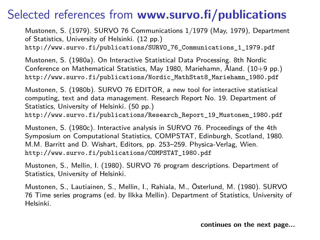Mustonen, S. (1979). SURVO 76 Communications 1/1979 (May, 1979), Department of Statistics, University of Helsinki. (12 pp.) [http://www.survo.fi/publications/SURVO\\_76\\_Communications\\_1\\_1979.pdf](http://www.survo.fi/publications/SURVO_76_Communications_1_1979.pdf)

Mustonen, S. (1980a). On Interactive Statistical Data Processing. 8th Nordic Conference on Mathematical Statistics, May 1980, Mariehamn, Åland. (10+9 pp.) [http://www.survo.fi/publications/Nordic\\_MathStat8\\_Mariehamn\\_1980.pdf](http://www.survo.fi/publications/Nordic_MathStat8_Mariehamn_1980.pdf)

Mustonen, S. (1980b). SURVO 76 EDITOR, a new tool for interactive statistical computing, text and data management. Research Report No. 19. Department of Statistics, University of Helsinki. (50 pp.)

[http://www.survo.fi/publications/Research\\_Report\\_19\\_Mustonen\\_1980.pdf](http://www.survo.fi/publications/Research_Report_19_Mustonen_1980.pdf)

Mustonen, S. (1980c). Interactive analysis in SURVO 76. Proceedings of the 4th Symposium on Computational Statistics, COMPSTAT, Edinburgh, Scotland, 1980. M.M. Barritt and D. Wishart, Editors, pp. 253–259. Physica-Verlag, Wien. [http://www.survo.fi/publications/COMPSTAT\\_1980.pdf](http://www.survo.fi/publications/COMPSTAT_1980.pdf)

Mustonen, S., Mellin, I. (1980). SURVO 76 program descriptions. Department of Statistics, University of Helsinki.

Mustonen, S., Lautiainen, S., Mellin, I., Rahiala, M., Österlund, M. (1980). SURVO 76 Time series programs (ed. by Ilkka Mellin). Department of Statistics, University of Helsinki.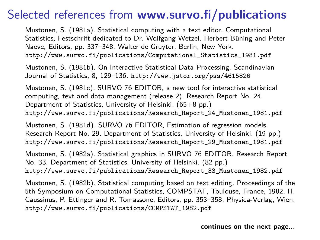Mustonen, S. (1981a). Statistical computing with a text editor. Computational Statistics, Festschrift dedicated to Dr. Wolfgang Wetzel. Herbert Büning and Peter Naeve, Editors, pp. 337–348. Walter de Gruyter, Berlin, New York. [http://www.survo.fi/publications/Computational\\_Statistics\\_1981.pdf](http://www.survo.fi/publications/Computational_Statistics_1981.pdf)

Mustonen, S. (1981b). On Interactive Statistical Data Processing. Scandinavian Journal of Statistics, 8, 129–136. <http://www.jstor.org/pss/4615826>

Mustonen, S. (1981c). SURVO 76 EDITOR, a new tool for interactive statistical computing, text and data management (release 2). Research Report No. 24. Department of Statistics, University of Helsinki. (65+8 pp.) [http://www.survo.fi/publications/Research\\_Report\\_24\\_Mustonen\\_1981.pdf](http://www.survo.fi/publications/Research_Report_24_Mustonen_1981.pdf)

Mustonen, S. (1981d). SURVO 76 EDITOR, Estimation of regression models. Research Report No. 29. Department of Statistics, University of Helsinki. (19 pp.) [http://www.survo.fi/publications/Research\\_Report\\_29\\_Mustonen\\_1981.pdf](http://www.survo.fi/publications/Research_Report_29_Mustonen_1981.pdf)

Mustonen, S. (1982a). Statistical graphics in SURVO 76 EDITOR. Research Report No. 33. Department of Statistics, University of Helsinki. (82 pp.) [http://www.survo.fi/publications/Research\\_Report\\_33\\_Mustonen\\_1982.pdf](http://www.survo.fi/publications/Research_Report_33_Mustonen_1982.pdf)

Mustonen, S. (1982b). Statistical computing based on text editing. Proceedings of the 5th Symposium on Computational Statistics, COMPSTAT, Toulouse, France, 1982. H. Caussinus, P. Ettinger and R. Tomassone, Editors, pp. 353–358. Physica-Verlag, Wien. [http://www.survo.fi/publications/COMPSTAT\\_1982.pdf](http://www.survo.fi/publications/COMPSTAT_1982.pdf)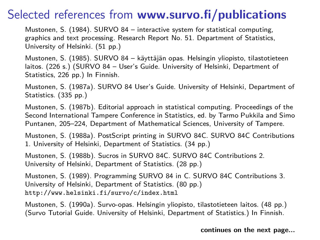Mustonen, S. (1984). SURVO 84 – interactive system for statistical computing, graphics and text processing. Research Report No. 51. Department of Statistics, University of Helsinki. (51 pp.)

Mustonen, S. (1985). SURVO 84 – käyttäjän opas. Helsingin yliopisto, tilastotieteen laitos. (226 s.) (SURVO 84 – User's Guide. University of Helsinki, Department of Statistics, 226 pp.) In Finnish.

Mustonen, S. (1987a). SURVO 84 User's Guide. University of Helsinki, Department of Statistics. (335 pp.)

Mustonen, S. (1987b). Editorial approach in statistical computing. Proceedings of the Second International Tampere Conference in Statistics, ed. by Tarmo Pukkila and Simo Puntanen, 205–224, Department of Mathematical Sciences, University of Tampere.

Mustonen, S. (1988a). PostScript printing in SURVO 84C. SURVO 84C Contributions 1. University of Helsinki, Department of Statistics. (34 pp.)

Mustonen, S. (1988b). Sucros in SURVO 84C. SURVO 84C Contributions 2. University of Helsinki, Department of Statistics. (28 pp.)

Mustonen, S. (1989). Programming SURVO 84 in C. SURVO 84C Contributions 3. University of Helsinki, Department of Statistics. (80 pp.) <http://www.helsinki.fi/survo/c/index.html>

Mustonen, S. (1990a). Survo-opas. Helsingin yliopisto, tilastotieteen laitos. (48 pp.) (Survo Tutorial Guide. University of Helsinki, Department of Statistics.) In Finnish.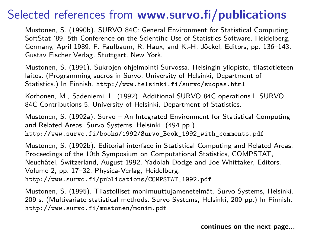Mustonen, S. (1990b). SURVO 84C: General Environment for Statistical Computing. SoftStat '89, 5th Conference on the Scientific Use of Statistics Software, Heidelberg, Germany, April 1989. F. Faulbaum, R. Haux, and K.-H. Jöckel, Editors, pp. 136–143. Gustav Fischer Verlag, Stuttgart, New York.

Mustonen, S. (1991). Sukrojen ohjelmointi Survossa. Helsingin yliopisto, tilastotieteen laitos. (Programming sucros in Survo. University of Helsinki, Department of Statistics.) In Finnish. <http://www.helsinki.fi/survo/suopas.html>

Korhonen, M., Sadeniemi, L. (1992). Additional SURVO 84C operations I. SURVO 84C Contributions 5. University of Helsinki, Department of Statistics.

Mustonen, S. (1992a). Survo – An Integrated Environment for Statistical Computing and Related Areas. Survo Systems, Helsinki. (494 pp.) [http://www.survo.fi/books/1992/Survo\\_Book\\_1992\\_with\\_comments.pdf](http://www.survo.fi/books/1992/Survo_Book_1992_with_comments.pdf)

Mustonen, S. (1992b). Editorial interface in Statistical Computing and Related Areas. Proceedings of the 10th Symposium on Computational Statistics, COMPSTAT, Neuchâtel, Switzerland, August 1992. Yadolah Dodge and Joe Whittaker, Editors, Volume 2, pp. 17–32. Physica-Verlag, Heidelberg. [http://www.survo.fi/publications/COMPSTAT\\_1992.pdf](http://www.survo.fi/publications/COMPSTAT_1992.pdf)

Mustonen, S. (1995). Tilastolliset monimuuttujamenetelmät. Survo Systems, Helsinki. 209 s. (Multivariate statistical methods. Survo Systems, Helsinki, 209 pp.) In Finnish. <http://www.survo.fi/mustonen/monim.pdf>